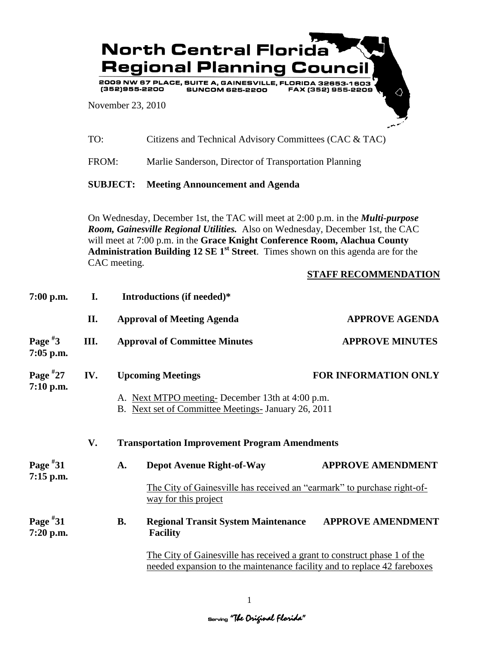

| TO: | Citizens and Technical Advisory Committees (CAC & TAC) |  |
|-----|--------------------------------------------------------|--|
|-----|--------------------------------------------------------|--|

FROM: Marlie Sanderson, Director of Transportation Planning

**SUBJECT: Meeting Announcement and Agenda**

On Wednesday, December 1st, the TAC will meet at 2:00 p.m. in the *Multi-purpose Room, Gainesville Regional Utilities.* Also on Wednesday, December 1st, the CAC will meet at 7:00 p.m. in the **Grace Knight Conference Room, Alachua County Administration Building 12 SE 1st Street**. Times shown on this agenda are for the CAC meeting.

## **STAFF RECOMMENDATION**

| 7:00 p.m.                 | I.                                                         |                                                                                                        | Introductions (if needed)*                                                                                                                           |                             |  |
|---------------------------|------------------------------------------------------------|--------------------------------------------------------------------------------------------------------|------------------------------------------------------------------------------------------------------------------------------------------------------|-----------------------------|--|
|                           | П.                                                         |                                                                                                        | <b>Approval of Meeting Agenda</b>                                                                                                                    | <b>APPROVE AGENDA</b>       |  |
| Page $*3$<br>7:05 p.m.    | III.                                                       |                                                                                                        | <b>Approval of Committee Minutes</b>                                                                                                                 | <b>APPROVE MINUTES</b>      |  |
| Page $*27$<br>$7:10$ p.m. | IV.                                                        |                                                                                                        | <b>Upcoming Meetings</b>                                                                                                                             | <b>FOR INFORMATION ONLY</b> |  |
|                           |                                                            | A. Next MTPO meeting-December 13th at 4:00 p.m.<br>B. Next set of Committee Meetings- January 26, 2011 |                                                                                                                                                      |                             |  |
|                           | V.<br><b>Transportation Improvement Program Amendments</b> |                                                                                                        |                                                                                                                                                      |                             |  |
| Page $*31$<br>$7:15$ p.m. |                                                            | A.                                                                                                     | <b>Depot Avenue Right-of-Way</b>                                                                                                                     | <b>APPROVE AMENDMENT</b>    |  |
|                           |                                                            |                                                                                                        | The City of Gainesville has received an "earmark" to purchase right-of-<br>way for this project                                                      |                             |  |
| Page $*31$<br>7:20 p.m.   |                                                            | <b>B.</b>                                                                                              | <b>Regional Transit System Maintenance</b><br><b>Facility</b>                                                                                        | <b>APPROVE AMENDMENT</b>    |  |
|                           |                                                            |                                                                                                        | The City of Gainesville has received a grant to construct phase 1 of the<br>needed expansion to the maintenance facility and to replace 42 fareboxes |                             |  |